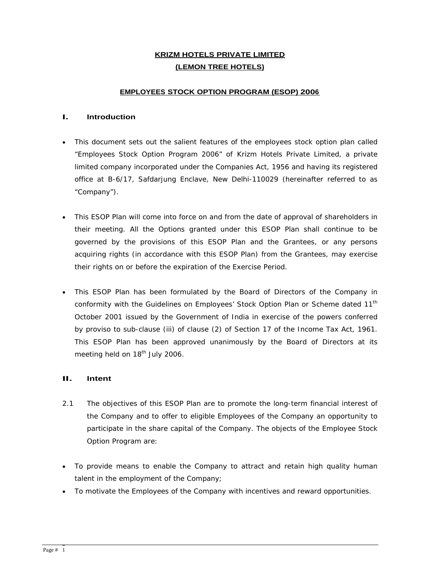## **KRIZM HOTELS PRIVATE LIMITED (LEMON TREE HOTELS)**

#### **EMPLOYEES STOCK OPTION PROGRAM (ESOP) 2006**

## **I. Introduction**

- This document sets out the salient features of the employees stock option plan called "Employees Stock Option Program 2006" of Krizm Hotels Private Limited, a private limited company incorporated under the Companies Act, 1956 and having its registered office at B-6/17, Safdarjung Enclave, New Delhi-110029 (hereinafter referred to as "Company").
- This ESOP Plan will come into force on and from the date of approval of shareholders in their meeting. All the Options granted under this ESOP Plan shall continue to be governed by the provisions of this ESOP Plan and the Grantees, or any persons acquiring rights (in accordance with this ESOP Plan) from the Grantees, may exercise their rights on or before the expiration of the Exercise Period.
- This ESOP Plan has been formulated by the Board of Directors of the Company in conformity with the Guidelines on Employees' Stock Option Plan or Scheme dated 11<sup>th</sup> the contract of the contract of the contract of the contract of the contract of the contract of the contract of the contract of the contract of the contract of the contract of the contract of the contract of the contract o October 2001 issued by the Government of India in exercise of the powers conferred by proviso to sub-clause (iii) of clause (2) of Section 17 of the Income Tax Act, 1961. This ESOP Plan has been approved unanimously by the Board of Directors at its meeting held on 18<sup>th</sup> July 2006.

# **II. Intent**

- 2.1 The objectives of this ESOP Plan are to promote the long-term financial interest of the Company and to offer to eligible Employees of the Company an opportunity to participate in the share capital of the Company. The objects of the Employee Stock Option Program are:
- To provide means to enable the Company to attract and retain high quality human talent in the employment of the Company;
- To motivate the Employees of the Company with incentives and reward opportunities.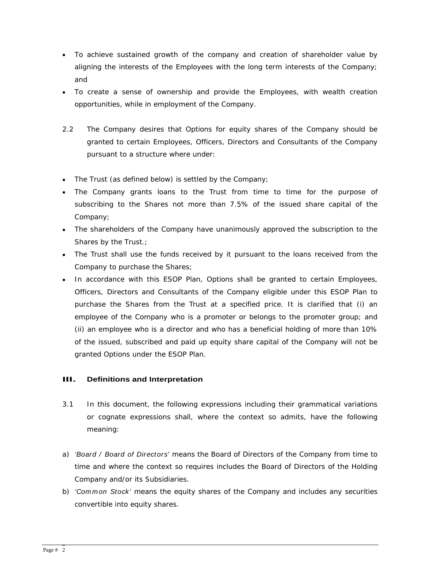- To achieve sustained growth of the companyand creation of shareholder value by aligning the interests of the Employees with the long term interests of the Company; and the contract of the contract of the contract of the contract of the contract of the contract of the contract of the contract of the contract of the contract of the contract of the contract of the contract of the contra
- To create a sense of ownership and provide the Employees, with wealth creation opportunities, while in employment of the Company.
- 2.2 The Company desires that Options for equity shares of the Company should be granted to certain Employees, Officers, Directors and Consultants of the Company pursuant to a structure where under:
- The Trust (as defined below) is settled by the Company;
- The Company grants loans to the Trust from time to time for the purpose of subscribing to the Shares not more than 7.5% of the issued share capital of the Company;
- The shareholders of the Company have unanimously approved the subscription to the Shares by the Trust.; and the contract of the state of the state of the state of the state of the state of the state of the state of the state of the state of the state of the state of the state of the state of the state o
- The Trust shall use the funds received by it pursuant to the loans received from the Company to purchase the Shares;
- In accordance with this ESOP Plan, Options shall be granted to certain Employees,  $\bullet$ Officers, Directors and Consultants of the Company eligible under this ESOP Plan to purchase the Shares from the Trust at a specified price. It is clarified that (i) an employee of the Company who is a promoter or belongs to the promoter group; and (ii) an employee who is a director and who has a beneficial holding of more than 10% of the issued, subscribed and paid up equity share capital of the Company will not be granted Options under the ESOP Plan.

# **III. Definitions and Interpretation**

- 3.1 In this document, the following expressions including their grammatical variations or cognate expressions shall, where the context so admits, have the following meaning:
- a) 'Board / Board of Directors' means the Board of Directors of the Company from time to time and where the context so requires includes the Board of Directors of the Holding Company and/or its Subsidiaries.
- b) 'Common Stock' means the equity shares of the Company and includes any securities convertible into equity shares.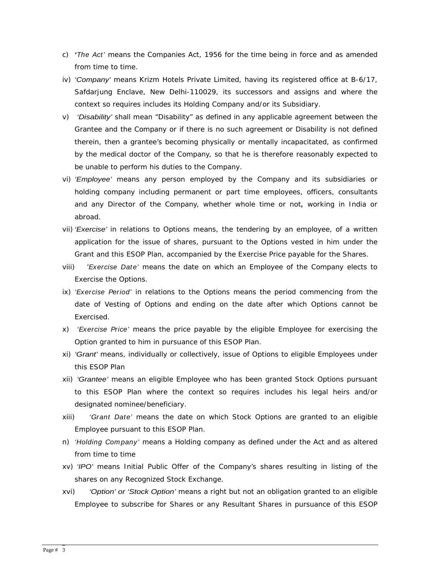- c) **'**The Act' means the Companies Act, 1956 for the time being in force and as amended from time to time.
- iv) 'Company' means Krizm Hotels Private Limited, having its registered office at B-6/17, Safdarjung Enclave, New Delhi-110029, its successors and assigns and where the context so requires includes its Holding Company and/or its Subsidiary.
- v) 'Disability' shall mean "Disability" as defined in any applicable agreement between the Grantee and the Company or if there is no such agreement or Disability is not defined therein, then a grantee's becoming physically or mentally incapacitated, as confirmed by the medical doctor of the Company, so that he is therefore reasonably expected to be unable to perform his duties to the Company.
- vi) 'Employee' means any person employed by the Company and its subsidiaries or holding company including permanent or part time employees, officers, consultants and any Director of the Company, whether whole time or not**,** working in India or abroad.
- vii) 'Exercise' in relations to Options means, the tendering by an employee, of a written application for the issue of shares, pursuant to the Options vested in him under the Grant and this ESOP Plan, accompanied by the Exercise Price payable for the Shares.
- viii) 'Exercise Date' means the date on which an Employee of the Company elects to Exercise the Options.
- ix) 'Exercise Period' in relations to the Options means the period commencing from the date of Vesting of Options and ending on the date after which Options cannot be Exercised.
- x) 'Exercise Price' means the price payable by the eligible Employee for exercising the Option granted to him in pursuance of this ESOP Plan.
- xi) 'Grant' means, individually or collectively, issue of Options to eligible Employees under this ESOP Plan
- xii) 'Grantee' means an eligible Employee who has been granted Stock Options pursuant to this ESOP Plan where the context so requires includes his legal heirs and/or designated nominee/beneficiary.
- xiii) 'Grant Date' means the date on which Stock Options are granted to an eligible Employee pursuant to this ESOP Plan.
- n) *'Holding Company'* means a Holding company as defined under the Act and as altered from time to time
- xv) 'IPO' means Initial Public Offer of the Company's shares resulting in listing of the shares on any Recognized Stock Exchange.
- xvi) 'Option' or 'Stock Option' means a right but not an obligation granted to an eligible Employee to subscribe for Shares or any Resultant Shares in pursuance of this ESOP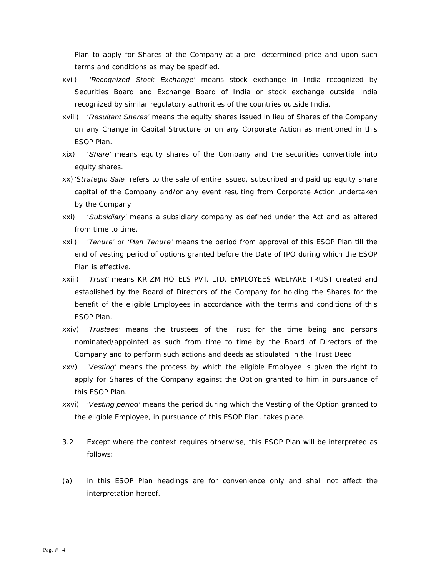Plan to apply for Shares of the Company at a pre- determined price and upon such terms and conditions as may be specified.

- xvii) 'Recognized Stock Exchange' means stock exchange in India recognized by Securities Board and Exchange Board of India or stock exchange outside India recognized by similar regulatory authorities of the countries outside India.
- xviii) 'Resultant Shares' means the equity shares issued in lieu of Shares of the Company on any Change in Capital Structure or on any Corporate Action as mentioned in this ESOP Plan. **Example 2008 Contract Contract Contract Contract Contract Contract Contract Contract Contract Contract Contract Contract Contract Contract Contract Contract Contract Contract Contract Contract Contract Contra**
- xix) 'Share' means equity shares of the Company and the securities convertible into equity shares.
- xx) 'Strategic Sale' refers to the sale of entire issued, subscribed and paid up equity share capital of the Company and/or any event resulting from Corporate Action undertaken by the Company
- xxi) 'Subsidiary' means a subsidiary company as defined under the Act and as altered from time to time.
- xxii) 'Tenure' or 'Plan Tenure' means the period from approval of this ESOP Plan till the end of vesting period of options granted before the Date of IPO during which the ESOP Plan is effective.
- xxiii) 'Trust' means KRIZM HOTELS PVT. LTD. EMPLOYEES WELFARE TRUST created and established by the Board of Directors of the Company for holding the Shares for the benefit of the eligible Employees in accordance with the terms and conditions of this ESOP Plan.
- xxiv) 'Trustees' means the trustees of the Trust for the time being and persons nominated/appointed as such from time to time by the Board of Directors of the Company and to perform such actions and deeds as stipulated in the Trust Deed.
- xxv) 'Vesting' means the process by which the eligible Employee is given the right to apply for Shares of the Company against the Option granted to him in pursuance of this ESOP Plan.
- xxvi) 'Vesting period' means the period during which the Vesting of the Option granted to the eligible Employee, in pursuance of this ESOP Plan, takes place.
- 3.2 Except where the context requires otherwise, this ESOP Plan will be interpreted as follows:
- (a) in this ESOP Plan headings are for convenience only and shall not affect the interpretation hereof.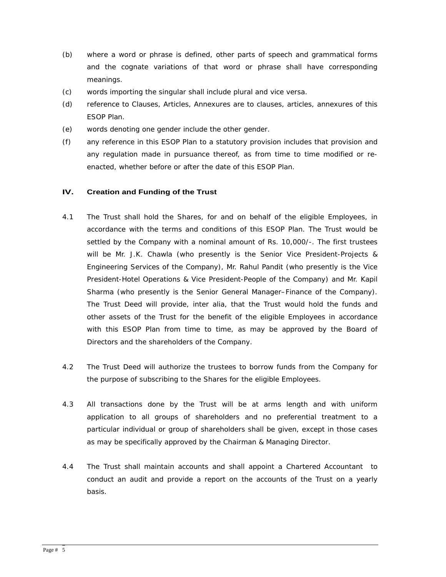- (b) where a word or phrase is defined, other parts of speech and grammatical forms and the cognate variations of that word or phrase shall have corresponding meanings. The contract of the contract of the contract of the contract of the contract of the contract of the contract of the contract of the contract of the contract of the contract of the contract of the contract of the
- (c) words importing the singular shall include plural and vice versa.
- (d) reference to Clauses, Articles, Annexuresare to clauses, articles, annexures of this ESOP Plan.
- (e) words denoting one gender include the other gender.
- (f) any reference in this ESOP Plan to a statutory provision includes that provision and any regulation made in pursuance thereof, as from time to time modified or re enacted, whether before or after the date of this ESOP Plan.

#### **IV. Creation and Funding of the Trust**

- 4.1 The Trust shall hold the Shares, for and on behalf of the eligible Employees, in accordance with the terms and conditions of this ESOP Plan. The Trust would be settled by the Company with a nominal amount of Rs. 10,000/-. The first trustees will be Mr. J.K. Chawla (who presently is the Senior Vice President-Projects & Engineering Services of the Company), Mr. Rahul Pandit (who presently is the Vice President-Hotel Operations & Vice President-People of the Company) and Mr. Kapil Sharma (who presently is the Senior General Manager–Finance of the Company). The Trust Deed will provide, inter alia, that the Trust would hold the funds and other assets of the Trust for the benefit of the eligible Employees in accordance with this ESOP Plan from time to time, as may be approved by the Board of Directors and the shareholders of the Company.
- 4.2 The Trust Deed will authorize the trustees to borrow funds from the Company for the purpose of subscribing to the Shares for the eligible Employees.
- 4.3 All transactions done by the Trust will be at arms length and with uniform application to all groups of shareholders and no preferential treatment to a particular individual or group of shareholders shall be given, except in those cases as may be specifically approved by the Chairman & Managing Director.
- 4.4 The Trust shall maintain accounts and shall appoint a Chartered Accountant to conduct an audit and provide a report on the accounts of the Trust on a yearly basis.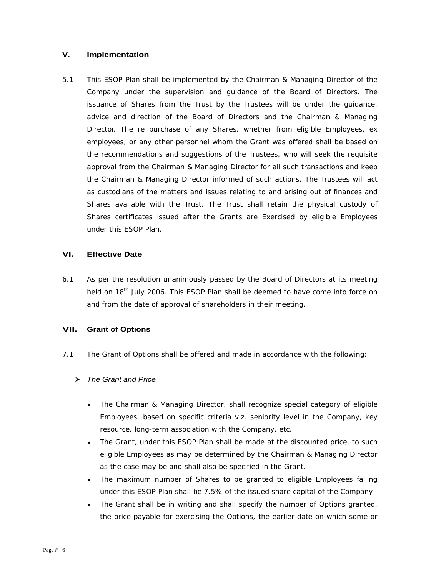#### **V. Implementation**

5.1 This ESOP Plan shall be implemented by the Chairman & Managing Director of the Company under the supervision and guidance of the Board of Directors. The issuance of Shares from the Trust by the Trustees will be under the guidance, advice and direction of the Board of Directors and the Chairman & Managing Director. The re purchase of any Shares, whether from eligible Employees, ex employees, or any other personnel whom the Grant was offered shall be based on the recommendations and suggestions of the Trustees, who will seek the requisite approval from the Chairman & Managing Director for all such transactions and keep the Chairman & Managing Director informed of such actions. The Trustees will act as custodians of the matters and issues relating to and arising out of finances and Shares available with the Trust. The Trust shall retain the physical custody of Shares certificates issued after the Grants are Exercised by eligible Employees under this ESOP Plan.

#### **VI. Effective Date**

6.1 As per the resolution unanimously passed by the Board of Directors at its meeting held on 18<sup>th</sup> July 2006. This ESOP Plan shall be deemed to have come into force on and from the date of approval of shareholders in their meeting.

### **VII. Grant of Options**

- 7.1 The Grant of Options shall be offered and made in accordance with the following:
	- > The Grant and Price
		- The Chairman & Managing Director, shall recognize special category of eligible Employees, based on specific criteria viz. seniority level in the Company, key resource, long-term association with the Company, etc.
		- The Grant, under this ESOP Plan shall be made at the discounted price, to such eligible Employees as may be determined by the Chairman & Managing Director as the case may be and shall also be specified in the Grant.
		- The maximum number of Shares to be granted to eligible Employees falling under this ESOP Plan shall be 7.5% of the issued share capital of the Company
		- The Grant shall be in writing and shall specify the number of Options granted,  $\bullet$ the price payable for exercising the Options, the earlier date on which some or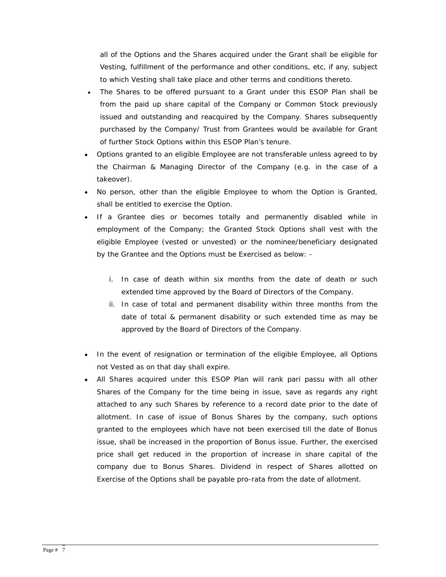all of the Options and the Shares acquired under the Grant shall be eligible for Vesting, fulfillment of the performance and other conditions, etc, if any, subject to which Vesting shall take place and other terms and conditions thereto.

- The Shares to be offered pursuant to a Grant under this ESOP Plan shall be from the paid up share capital of the Company or Common Stock previously issued and outstanding and reacquired by the Company. Shares subsequently purchased by the Company/ Trust from Grantees would be available for Grant of further Stock Options within this ESOP Plan's tenure.
- Options granted to an eligible Employee are not transferable unless agreed to by the Chairman & Managing Director of the Company (e.g. in the case of a takeover).
- No person, other than the eligible Employee to whom the Option is Granted, shall be entitled to exercise the Option.
- If a Grantee dies or becomes totally and permanently disabled while in employment of the Company; the Granted Stock Options shall vest with the eligible Employee (vested or unvested) or the nominee/beneficiary designated by the Grantee and the Options must be Exercised as below:
	- i. In case of death within six months from the date of death or such extended time approved by the Board of Directors of the Company.
	- ii. In case of total and permanent disability within three months from the date of total & permanent disability or such extended time as may be approved by the Board of Directors of the Company.
- In the event of resignation or termination of the eligible Employee, all Options not Vested as on that day shall expire.
- All Shares acquired under this ESOP Plan will rank pari passu with all other Shares of the Company for the time being in issue, save as regards any right attached to any such Shares by reference to a record date prior to the date of allotment. In case of issue of Bonus Shares by the company, such options granted to the employees which have not been exercised till the date of Bonus issue, shall be increased in the proportion of Bonus issue. Further, the exercised price shall get reduced in the proportion of increase in share capital of the company due to Bonus Shares. Dividend in respect of Shares allotted on Exercise of the Options shall be payable pro-rata from the date of allotment.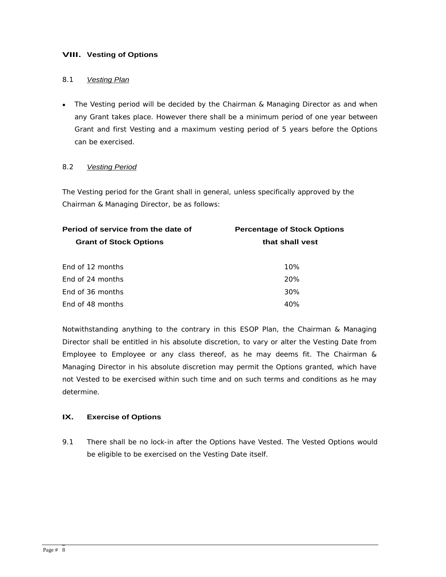## **VIII. Vesting of Options**

#### 8.1 Vesting Plan **Exercía de Senator de Senator de Senator de Senator de Senator de Senator de Senator de Senator de Senator de Senator de Senator de Senator de Senator de Senator de Senator de Senator de Senator de Senato**

The Vesting period will be decided by the Chairman & Managing Director as and when any Grant takes place. However there shall be a minimum period of one year between Grant and first Vesting and a maximum vesting period of 5 years before the Options can be exercised.

#### 8.2 Vesting Period **Australian Contract Contract Period** Contract Period Contract Period Contract Period Contract Period Contract Period Contract Period Contract Period Contract Period Contract Period Contract Period Contr

The Vesting period for the Grant shall in general, unless specifically approved by the Chairman & Managing Director, be as follows:

| <b>Percentage of Stock Options</b> |
|------------------------------------|
| that shall vest                    |
|                                    |
| 10%                                |
| 20%                                |
| 30%                                |
| 40%                                |
|                                    |

Notwithstanding anything to the contrary in this ESOP Plan, the Chairman & Managing Director shall be entitled in his absolute discretion, to vary or alter the Vesting Date from Employee to Employee or any class thereof, as he may deems fit. The Chairman & Managing Director in his absolute discretion may permit the Options granted, which have not Vested to be exercised within such time and on such terms and conditions as he may determine.

#### **IX. Exercise of Options**

9.1 There shall be no lock-in after the Options have Vested. The Vested Options would be eligible to be exercised on the Vesting Date itself.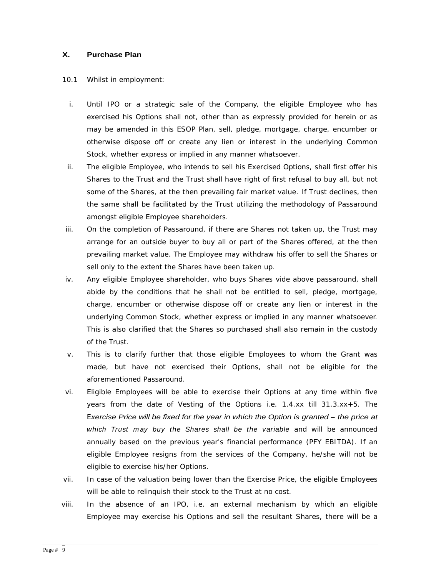#### **X. Purchase Plan**

#### 10.1 Whilst in employment: the state of the state of the state of the state of the state of the state of the state of the state of the state of the state of the state of the state of the state of the state of the state of

- i. Until IPO or a strategic sale of the Company, the eligible Employee who has exercised his Options shall not, other than as expressly provided for herein or as may be amended in this ESOP Plan, sell, pledge, mortgage, charge, encumber or otherwise dispose off or create any lien or interest in the underlying Common Stock, whether express or implied in any manner whatsoever.
- ii. The eligible Employee, who intends to sell his Exercised Options, shall first offer his Shares to the Trust and the Trust shall have right of first refusal to buy all, but not some of the Shares, at the then prevailing fair market value. If Trust declines, then the same shall be facilitated by the Trust utilizing the methodology of Passaround amongst eligible Employee shareholders.
- iii. On the completion of Passaround, if there are Shares not taken up, the Trust may arrange for an outside buyer to buy all or part of the Shares offered, at the then prevailing market value. The Employee may withdraw his offer to sell the Shares or sell only to the extent the Shares have been taken up.
- iv. Any eligible Employee shareholder, who buys Shares vide above passaround, shall abide by the conditions that he shall not be entitled to sell, pledge, mortgage, charge, encumber or otherwise dispose off or create any lien or interest in the underlying Common Stock, whether express or implied in any manner whatsoever. This is also clarified that the Shares so purchased shall also remain in the custody of the Trust.
- v. This is to clarify further that those eligible Employees to whom the Grant was made, but have not exercised their Options, shall not be eligible for the aforementioned Passaround.
- vi. Eligible Employees will be able to exercise their Options at any time within five years from the date of Vesting of the Options i.e. 1.4.xx till 31.3.xx+5. The Exercise Price will be fixed for the year in which the Option is granted – the price at which Trust may buy the Shares shall be the variable and will be announced annually based on the previous year's financial performance (PFY EBITDA). If an eligible Employee resigns from the services of the Company, he/she will not be eligible to exercise his/her Options.
- vii. In case of the valuation being lower than the Exercise Price, the eligible Employees will be able to relinquish their stock to the Trust at no cost.
- viii. In the absence of an IPO, i.e. an external mechanism by which an eligible Employee may exercise his Options and sell the resultant Shares, there will be a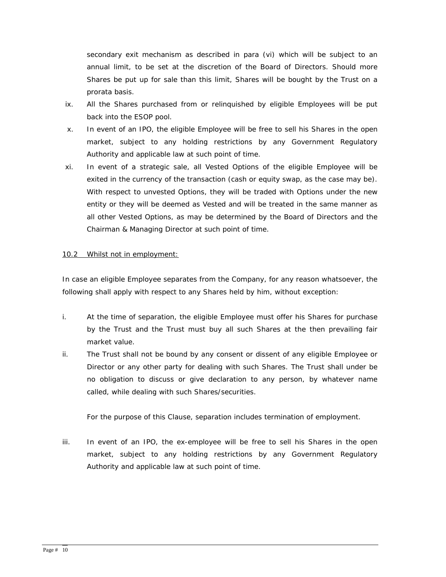secondary exit mechanism as described in para (vi) which will be subject to an annual limit, to be set at the discretion of the Board of Directors. Should more Shares be put up for sale than this limit, Shares will be bought by the Trust on a prorata basis.

- ix. All the Shares purchased from or relinquished by eligible Employees will be put back into the ESOP pool.
- x. In event of an IPO, the eligible Employee will be free to sell his Shares in the open market, subject to any holding restrictions by any Government Regulatory Authority and applicable law at such point of time.
- xi. In event of a strategic sale, all Vested Options of the eligible Employee will be exited in the currency of the transaction (cash or equity swap, as the case may be). With respect to unvested Options, they will be traded with Options under the new entity or they will be deemed as Vested and will be treated in the same manner as all other Vested Options, as may be determined by the Board of Directors and the Chairman & Managing Director at such point of time.

#### 10.2 Whilst not in employment:

In case an eligible Employee separates from the Company, for any reason whatsoever, the following shall apply with respect to any Shares held by him, without exception:

- i. At the time of separation, the eligible Employee must offer his Shares for purchase by the Trust and the Trust must buy all such Shares at the then prevailing fair market value.
- ii. The Trust shall not be bound by any consent or dissent of any eligible Employee or Director or any other party for dealing with such Shares. The Trust shall under be no obligation to discuss or give declaration to any person, by whatever name called, while dealing with such Shares/securities.

For the purpose of this Clause, separation includes termination of employment.

iii. In event of an IPO, the ex-employee will be free to sell his Shares in the open market, subject to any holding restrictions by any Government Regulatory Authority and applicable law at such point of time.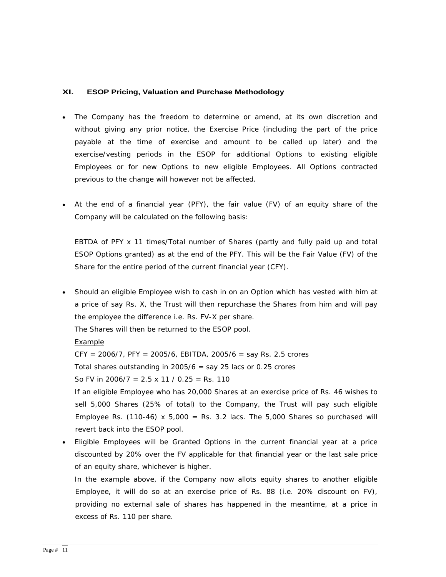#### **XI. ESOP Pricing, Valuation and Purchase Methodology**

- The Company has the freedom to determine or amend, at its own discretion and without giving any prior notice, the Exercise Price (including the part of the price payable at the time of exercise and amount to be called up later) and the exercise/vesting periods in the ESOP for additional Options to existing eligible Employees or for new Options to new eligible Employees. All Options contracted previous to the change will however not be affected.
- At the end of a financial year (PFY), the fair value (FV) of an equity share of the  $\bullet$ Company will be calculated on the following basis:

EBTDA of PFY x 11 times/Total number of Shares (partly and fully paid up and total ESOP Options granted) as at the end of the PFY. This will be the Fair Value (FV) of the Share for the entire period of the current financial year (CFY).

Should an eligible Employee wish to cash in on an Option which has vested with him at a price of say Rs. X, the Trust will then repurchase the Shares from him and will pay the employee the difference i.e. Rs. FV-X per share.

The Shares will then be returned to the ESOP pool.

Example to the contract of the contract of the contract of the contract of the contract of the contract of the contract of the contract of the contract of the contract of the contract of the contract of the contract of the

 $CFY = 2006/7$ ,  $PFY = 2005/6$ ,  $EBITDA$ ,  $2005/6 =$  say Rs. 2.5 crores

Total shares outstanding in  $2005/6$  = say 25 lacs or 0.25 crores

So FV in 2006/7 =  $2.5 \times 11 / 0.25$  = Rs. 110

 If an eligible Employee who has 20,000 Shares at an exercise price of Rs. 46 wishes to sell 5,000 Shares (25% of total) to the Company, the Trust will pay such eligible Employee Rs. (110-46)  $x$  5,000 = Rs. 3.2 lacs. The 5,000 Shares so purchased will revert back into the ESOP pool.

Eligible Employees will be Granted Options in the current financial year at a price discounted by 20% over the FV applicable for that financial year or the last sale price of an equity share, whichever is higher.

 In the example above, if the Company now allots equity shares to another eligible Employee, it will do so at an exercise price of Rs. 88 (i.e. 20% discount on FV), providing no external sale of shares has happened in the meantime, at a price in excess of Rs. 110 per share.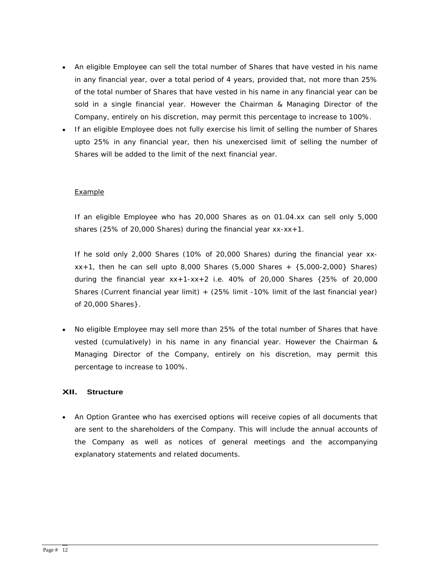- $\bullet$ An eligible Employee can sell the total number of Shares that have vested in his name in any financial year, over a total period of 4 years, provided that, not more than 25% of the total number of Shares that have vested in his name in any financial year can be sold in a single financial year. However the Chairman & Managing Director of the Company, entirely on his discretion, may permit this percentage to increase to 100%.
- If an eligible Employee does not fully exercise his limit of selling the number of Shares upto 25% in any financial year, then his unexercised limit of selling the number of Shares will be added to the limit of the next financial year.

#### Example to the contract of the contract of the contract of the contract of the contract of the contract of the contract of the contract of the contract of the contract of the contract of the contract of the contract of the

If an eligible Employee who has 20,000 Shares as on 01.04.xx can sell only 5,000 shares (25% of 20,000 Shares) during the financial year  $xx-xx+1$ .

If he sold only 2,000 Shares (10% of 20,000 Shares) during the financial year xx  $xx+1$ , then he can sell upto 8,000 Shares (5,000 Shares +  $\{5,000-2,000\}$  Shares) during the financial year xx+1-xx+2 i.e. 40% of 20,000 Shares {25% of 20,000 Shares (Current financial year limit) + (25% limit -10% limit of the last financial year) of 20,000 Shares}.

No eligible Employee may sell more than 25% of the total number of Shares that have vested (cumulatively) in his name in any financial year. However the Chairman & Managing Director of the Company, entirely on his discretion, may permit this percentage to increase to 100%.

### **XII. Structure**

An Option Grantee who has exercised options will receive copies of all documents that are sent to the shareholders of the Company. This will include the annual accounts of the Company as well as notices of general meetings and the accompanying explanatory statements and related documents.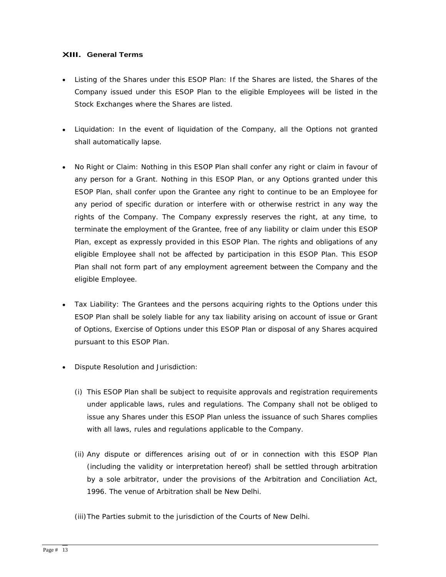## **XIII. General Terms**

- Listing of the Shares under this ESOP Plan: If the Shares are listed, the Shares of the Company issued under this ESOP Plan to the eligible Employees will be listed in the Stock Exchanges where the Shares are listed.
- Liquidation: In the event of liquidation of the Company, all the Options not granted shall automatically lapse.
- No Right or Claim: Nothing in this ESOP Plan shall confer any right or claim in favour of any person for a Grant. Nothing in this ESOP Plan, or any Options granted under this ESOP Plan, shall confer upon the Grantee any right to continue to be an Employee for any period of specific duration or interfere with or otherwise restrict in any way the rights of the Company. The Company expressly reserves the right, at any time, to terminate the employment of the Grantee, free of any liability or claim under this ESOP Plan, except as expressly provided in this ESOP Plan. The rights and obligations of any eligible Employee shall not be affected by participation in this ESOP Plan. This ESOP Plan shall not form part of any employment agreement between the Company and the eligible Employee.
- Tax Liability: The Grantees and the persons acquiring rights to the Options under this  $\bullet$ ESOP Plan shall be solely liable for any tax liability arising on account of issue or Grant of Options, Exercise of Options under this ESOP Plan or disposal of any Shares acquired pursuant to this ESOP Plan.
- Dispute Resolution and Jurisdiction:
	- (i) This ESOP Plan shall be subject to requisite approvals and registration requirements under applicable laws, rules and regulations. The Company shall not be obliged to issue any Shares under this ESOP Plan unless the issuance of such Shares complies with all laws, rules and regulations applicable to the Company.
	- (ii) Any dispute or differences arising out of or in connection with this ESOP Plan (including the validity or interpretation hereof) shall be settled through arbitration by a sole arbitrator, under the provisions of the Arbitration and Conciliation Act, 1996. The venue of Arbitration shall be New Delhi.
	- (iii)The Parties submit to the jurisdiction of the Courts of New Delhi.